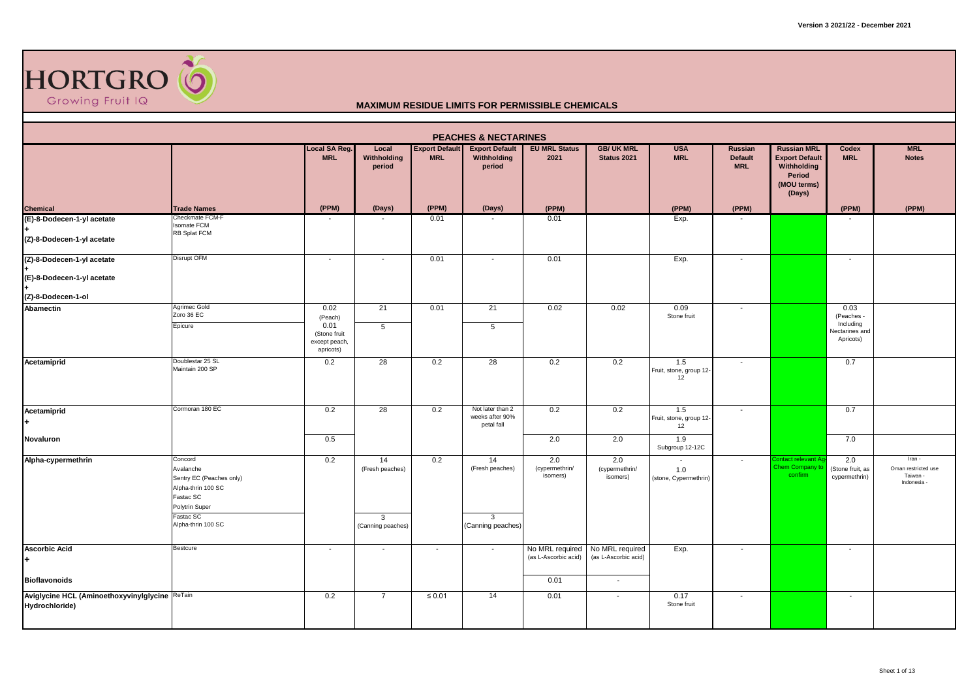

|                                                                  |                                                                                                                                          |                                                                       |                                                 |                                     | <b>PEACHES &amp; NECTARINES</b>                            |                                   |                                   |                                      |                                                |                                                                                                      |                                                                |                                                          |
|------------------------------------------------------------------|------------------------------------------------------------------------------------------------------------------------------------------|-----------------------------------------------------------------------|-------------------------------------------------|-------------------------------------|------------------------------------------------------------|-----------------------------------|-----------------------------------|--------------------------------------|------------------------------------------------|------------------------------------------------------------------------------------------------------|----------------------------------------------------------------|----------------------------------------------------------|
|                                                                  |                                                                                                                                          | <b>Local SA Reg.</b><br><b>MRL</b>                                    | Local<br>Withholding<br>period                  | <b>Export Default</b><br><b>MRL</b> | <b>Export Default</b><br>Withholding<br>period             | <b>EU MRL Status</b><br>2021      | <b>GB/ UK MRL</b><br>Status 2021  | <b>USA</b><br><b>MRL</b>             | <b>Russian</b><br><b>Default</b><br><b>MRL</b> | <b>Russian MRL</b><br><b>Export Default</b><br><b>Withholding</b><br>Period<br>(MOU terms)<br>(Days) | Codex<br><b>MRL</b>                                            | <b>MRL</b><br><b>Notes</b>                               |
| Chemical<br>(E)-8-Dodecen-1-yl acetate                           | <b>Trade Names</b>                                                                                                                       | (PPM)                                                                 | (Days)                                          | (PPM)                               | (Days)                                                     | (PPM)                             |                                   | (PPM)                                | (PPM)                                          |                                                                                                      | (PPM)                                                          | (PPM)                                                    |
| (Z)-8-Dodecen-1-yl acetate                                       | Checkmate FCM-F<br><b>Isomate FCM</b><br>RB Splat FCM                                                                                    |                                                                       |                                                 | 0.01                                |                                                            | 0.01                              |                                   | Exp.                                 |                                                |                                                                                                      |                                                                |                                                          |
| (Z)-8-Dodecen-1-yl acetate                                       | Disrupt OFM                                                                                                                              | $\overline{\phantom{a}}$                                              | $\overline{\phantom{a}}$                        | 0.01                                | $\overline{\phantom{a}}$                                   | 0.01                              |                                   | Exp.                                 | $\overline{\phantom{a}}$                       |                                                                                                      | $\sim$                                                         |                                                          |
| (E)-8-Dodecen-1-yl acetate<br>(Z)-8-Dodecen-1-ol                 |                                                                                                                                          |                                                                       |                                                 |                                     |                                                            |                                   |                                   |                                      |                                                |                                                                                                      |                                                                |                                                          |
| Abamectin                                                        | Agrimec Gold<br>Zoro 36 EC<br>Epicure                                                                                                    | 0.02<br>(Peach)<br>0.01<br>(Stone fruit<br>except peach,<br>apricots) | 21<br>5                                         | 0.01                                | 21<br>5                                                    | 0.02                              | 0.02                              | 0.09<br>Stone fruit                  | $\sim$                                         |                                                                                                      | 0.03<br>(Peaches -<br>Including<br>Nectarines and<br>Apricots) |                                                          |
| Acetamiprid                                                      | Doublestar 25 SL<br>Maintain 200 SP                                                                                                      | 0.2                                                                   | 28                                              | 0.2                                 | 28                                                         | 0.2                               | 0.2                               | 1.5<br>Fruit, stone, group 12-<br>12 | $\overline{\phantom{a}}$                       |                                                                                                      | 0.7                                                            |                                                          |
| Acetamiprid                                                      | Cormoran 180 EC                                                                                                                          | 0.2                                                                   | 28                                              | 0.2                                 | Not later than 2<br>weeks after 90%<br>petal fall          | 0.2                               | 0.2                               | 1.5<br>Fruit, stone, group 12-<br>12 |                                                |                                                                                                      | 0.7                                                            |                                                          |
| Novaluron                                                        |                                                                                                                                          | 0.5                                                                   |                                                 |                                     |                                                            | 2.0                               | 2.0                               | 1.9<br>Subgroup 12-12C               |                                                |                                                                                                      | 7.0                                                            |                                                          |
| Alpha-cypermethrin                                               | Concord<br>Avalanche<br>Sentry EC (Peaches only)<br>Alpha-thrin 100 SC<br>Fastac SC<br>Polytrin Super<br>Fastac SC<br>Alpha-thrin 100 SC | 0.2                                                                   | 14<br>(Fresh peaches)<br>3<br>(Canning peaches) | 0.2                                 | 14<br>(Fresh peaches)<br>$\mathbf{3}$<br>(Canning peaches) | 2.0<br>(cypermethrin/<br>isomers) | 2.0<br>(cypermethrin/<br>isomers) | 1.0<br>(stone, Cypermethrin)         | $\overline{\phantom{a}}$                       | ontact relevant Ag<br>hem Company to<br>confirm                                                      | 2.0<br>(Stone fruit, as<br>cypermethrin)                       | Iran -<br>Oman restricted use<br>Taiwan -<br>Indonesia - |
| <b>Ascorbic Acid</b>                                             | Bestcure                                                                                                                                 |                                                                       |                                                 |                                     | $\overline{\phantom{a}}$                                   | No MRL required                   | No MRL required                   |                                      |                                                |                                                                                                      | $\overline{\phantom{a}}$                                       |                                                          |
|                                                                  |                                                                                                                                          | $\overline{\phantom{a}}$                                              | $\overline{\phantom{a}}$                        | $\sim$                              |                                                            | (as L-Ascorbic acid)              | (as L-Ascorbic acid)              | Exp.                                 | $\overline{\phantom{a}}$                       |                                                                                                      |                                                                |                                                          |
| <b>Bioflavonoids</b>                                             |                                                                                                                                          |                                                                       |                                                 |                                     |                                                            | 0.01                              | $\sim$                            |                                      |                                                |                                                                                                      |                                                                |                                                          |
| Aviglycine HCL (Aminoethoxyvinylglycine ReTain<br>Hydrochloride) |                                                                                                                                          | 0.2                                                                   | $\overline{7}$                                  | $\leq 0.01$                         | 14                                                         | 0.01                              | $\overline{\phantom{a}}$          | 0.17<br>Stone fruit                  | $\overline{\phantom{a}}$                       |                                                                                                      | $\sim$                                                         |                                                          |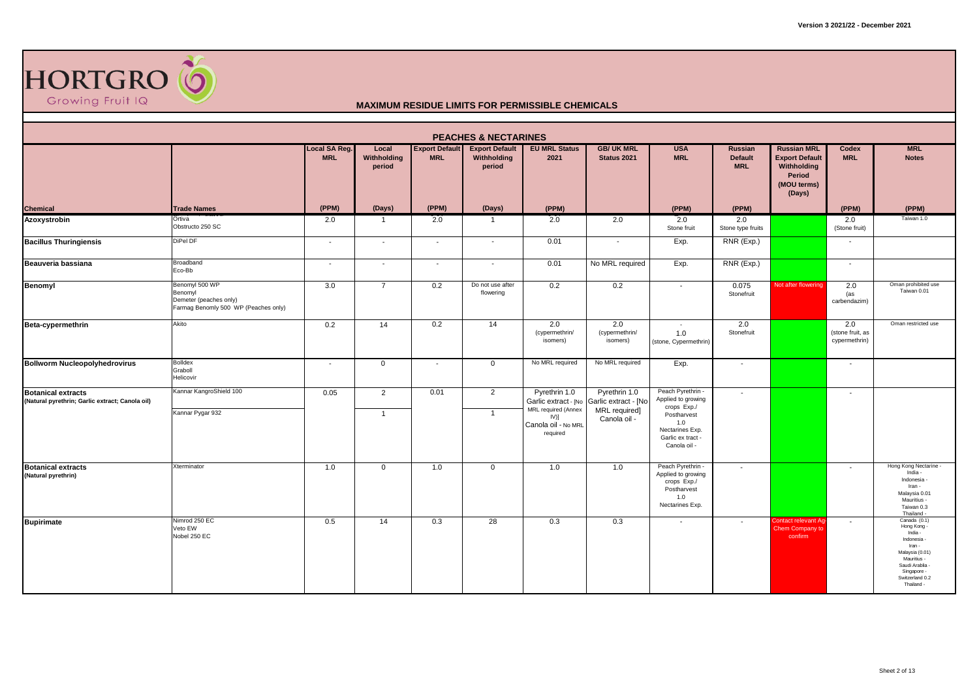

|                                                                              |                                                                                             |                             |                                |                                     | <b>PEACHES &amp; NECTARINES</b>                |                                                              |                                       |                                                                                                 |                                                |                                                                                               |                                          |                                                                                                                                                                      |
|------------------------------------------------------------------------------|---------------------------------------------------------------------------------------------|-----------------------------|--------------------------------|-------------------------------------|------------------------------------------------|--------------------------------------------------------------|---------------------------------------|-------------------------------------------------------------------------------------------------|------------------------------------------------|-----------------------------------------------------------------------------------------------|------------------------------------------|----------------------------------------------------------------------------------------------------------------------------------------------------------------------|
|                                                                              |                                                                                             | Local SA Reg.<br><b>MRL</b> | Local<br>Withholding<br>period | <b>Export Default</b><br><b>MRL</b> | <b>Export Default</b><br>Withholding<br>period | <b>EU MRL Status</b><br>2021                                 | <b>GB/ UK MRL</b><br>Status 2021      | <b>USA</b><br><b>MRL</b>                                                                        | <b>Russian</b><br><b>Default</b><br><b>MRL</b> | <b>Russian MRL</b><br><b>Export Default</b><br>Withholding<br>Period<br>(MOU terms)<br>(Days) | Codex<br><b>MRL</b>                      | <b>MRL</b><br><b>Notes</b>                                                                                                                                           |
| Chemical                                                                     | <b>Trade Names</b>                                                                          | (PPM)                       | (Days)                         | (PPM)                               | (Days)                                         | (PPM)                                                        |                                       | (PPM)                                                                                           | (PPM)                                          |                                                                                               | (PPM)                                    | (PPM)                                                                                                                                                                |
| Azoxystrobin                                                                 | Ortiva<br>Obstructo 250 SC                                                                  | 2.0                         | -1                             | 2.0                                 | -1                                             | 2.0                                                          | 2.0                                   | 2.0<br>Stone fruit                                                                              | 2.0<br>Stone type fruits                       |                                                                                               | 2.0<br>(Stone fruit)                     | Taiwan 1.0                                                                                                                                                           |
| <b>Bacillus Thuringiensis</b>                                                | DiPel DF                                                                                    | $\sim$                      | $\sim$                         | $\sim$                              | $\overline{\phantom{a}}$                       | 0.01                                                         | $\blacksquare$                        | Exp.                                                                                            | RNR (Exp.)                                     |                                                                                               | $\sim$                                   |                                                                                                                                                                      |
| Beauveria bassiana                                                           | Broadband<br>Eco-Bb                                                                         | $\overline{\phantom{a}}$    | $\overline{\phantom{a}}$       | $\sim$                              | $\overline{\phantom{a}}$                       | 0.01                                                         | No MRL required                       | Exp.                                                                                            | RNR (Exp.)                                     |                                                                                               | $\overline{\phantom{a}}$                 |                                                                                                                                                                      |
| Benomyl                                                                      | Benomyl 500 WP<br>Benomyl<br>Demeter (peaches only)<br>Farmag Benomly 500 WP (Peaches only) | 3.0                         | $\overline{7}$                 | 0.2                                 | Do not use after<br>flowering                  | 0.2                                                          | 0.2                                   | $\blacksquare$                                                                                  | 0.075<br>Stonefruit                            | Not after flowering                                                                           | 2.0<br>(as<br>carbendazim)               | Oman prohibited use<br>Taiwan 0.01                                                                                                                                   |
| Beta-cypermethrin                                                            | Akito                                                                                       | 0.2                         | 14                             | 0.2                                 | 14                                             | 2.0<br>(cypermethrin/<br>isomers)                            | 2.0<br>(cypermethrin/<br>isomers)     | $\sim$<br>1.0<br>(stone, Cypermethrin)                                                          | 2.0<br>Stonefruit                              |                                                                                               | 2.0<br>(stone fruit, as<br>cypermethrin) | Oman restricted use                                                                                                                                                  |
| <b>Bollworm Nucleopolyhedrovirus</b>                                         | <b>Bolldex</b><br>Graboll<br>Helicovir                                                      | $\sim$                      | $\mathbf 0$                    | $\sim$                              | $\mathbf 0$                                    | No MRL required                                              | No MRL required                       | Exp.                                                                                            | $\sim$                                         |                                                                                               | $\sim$                                   |                                                                                                                                                                      |
| <b>Botanical extracts</b><br>(Natural pyrethrin; Garlic extract; Canola oil) | Kannar KangroShield 100                                                                     | 0.05                        | 2                              | 0.01                                | 2                                              | Pyrethrin 1.0<br>Garlic extract - [No<br>MRL required (Annex | Pyrethrin 1.0<br>Garlic extract - [No | Peach Pyrethrin -<br>Applied to growing<br>crops Exp./                                          | $\overline{\phantom{a}}$                       |                                                                                               | $\overline{\phantom{a}}$                 |                                                                                                                                                                      |
|                                                                              | Kannar Pygar 932                                                                            |                             | -1                             |                                     | $\overline{1}$                                 | $IV$ ]<br>Canola oil - No MRL<br>required                    | MRL required]<br>Canola oil -         | Postharvest<br>1.0<br>Nectarines Exp.<br>Garlic ex tract<br>Canola oil -                        |                                                |                                                                                               |                                          |                                                                                                                                                                      |
| <b>Botanical extracts</b><br>(Natural pyrethrin)                             | Xterminator                                                                                 | 1.0                         | $\overline{0}$                 | 1.0                                 | $\overline{0}$                                 | 1.0                                                          | 1.0                                   | Peach Pyrethrin -<br>Applied to growing<br>crops Exp./<br>Postharvest<br>1.0<br>Nectarines Exp. | $\overline{\phantom{a}}$                       |                                                                                               | $\sim$                                   | Hong Kong Nectarine -<br>India -<br>Indonesia -<br>Iran -<br>Malaysia 0.01<br>Mauritius -<br>Taiwan 0.3<br>Thailand -                                                |
| <b>Bupirimate</b>                                                            | Nimrod 250 EC<br>Veto EW<br>Nobel 250 EC                                                    | 0.5                         | 14                             | 0.3                                 | 28                                             | 0.3                                                          | 0.3                                   | $\overline{\phantom{a}}$                                                                        | $\overline{\phantom{a}}$                       | <b>Contact relevant Aq</b><br>Chem Company to<br>confirm                                      | $\sim$                                   | Canada (0.1)<br>Hong Kong -<br>India -<br>Indonesia -<br>Iran -<br>Malaysia (0.01)<br>Mauritius -<br>Saudi Arablia -<br>Singapore -<br>Switzerland 0.2<br>Thailand - |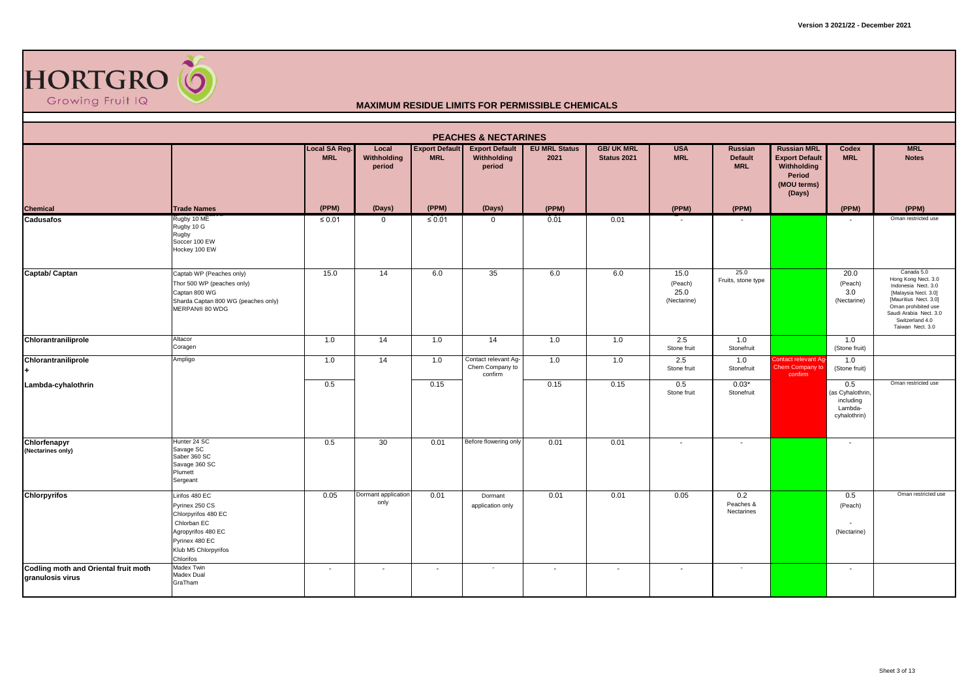

|                                                          |                                                                                                                                                     |                             |                                |                                     | <b>PEACHES &amp; NECTARINES</b>                    |                              |                                  |                                        |                                                |                                                                                               |                                                                 |                                                                                                                                                                                                   |
|----------------------------------------------------------|-----------------------------------------------------------------------------------------------------------------------------------------------------|-----------------------------|--------------------------------|-------------------------------------|----------------------------------------------------|------------------------------|----------------------------------|----------------------------------------|------------------------------------------------|-----------------------------------------------------------------------------------------------|-----------------------------------------------------------------|---------------------------------------------------------------------------------------------------------------------------------------------------------------------------------------------------|
|                                                          |                                                                                                                                                     | Local SA Reg.<br><b>MRL</b> | Local<br>Withholding<br>period | <b>Export Default</b><br><b>MRL</b> | <b>Export Default</b><br>Withholding<br>period     | <b>EU MRL Status</b><br>2021 | <b>GB/ UK MRL</b><br>Status 2021 | <b>USA</b><br><b>MRL</b>               | <b>Russian</b><br><b>Default</b><br><b>MRL</b> | <b>Russian MRL</b><br><b>Export Default</b><br>Withholding<br>Period<br>(MOU terms)<br>(Days) | Codex<br><b>MRL</b>                                             | <b>MRL</b><br><b>Notes</b>                                                                                                                                                                        |
| <b>Chemical</b>                                          | <b>Trade Names</b>                                                                                                                                  | (PPM)                       | (Days)                         | (PPM)                               | (Days)                                             | (PPM)                        |                                  | (PPM)                                  | (PPM)                                          |                                                                                               | (PPM)                                                           | (PPM)                                                                                                                                                                                             |
| <b>Cadusafos</b>                                         | Rugby 10 ME<br>Rugby 10 G<br>Rugby<br>Soccer 100 EW<br>Hockey 100 EW                                                                                | $\leq 0.01$                 | $\mathbf{0}$                   | $\leq 0.01$                         | $\mathbf{0}$                                       | 0.01                         | 0.01                             |                                        |                                                |                                                                                               |                                                                 | Oman restricted use                                                                                                                                                                               |
| Captab/ Captan                                           | Captab WP (Peaches only)<br>Thor 500 WP (peaches only)<br>Captan 800 WG<br>Sharda Captan 800 WG (peaches only)<br>MERPAN® 80 WDG                    | 15.0                        | 14                             | 6.0                                 | 35                                                 | 6.0                          | 6.0                              | 15.0<br>(Peach)<br>25.0<br>(Nectarine) | 25.0<br>Fruits, stone type                     |                                                                                               | 20.0<br>(Peach)<br>3.0<br>(Nectarine)                           | Canada 5.0<br>Hong Kong Nect. 3.0<br>Indonesia Nect. 3.0<br>[Malaysia Nect. 3.0]<br>[Mauritius Nect. 3.0]<br>Oman prohibited use<br>Saudi Arabia Nect. 3.0<br>Switzerland 4.0<br>Taiwan Nect. 3.0 |
| Chlorantraniliprole                                      | Altacor<br>Coragen                                                                                                                                  | 1.0                         | 14                             | 1.0                                 | 14                                                 | 1.0                          | 1.0                              | 2.5<br>Stone fruit                     | 1.0<br>Stonefruit                              |                                                                                               | 1.0<br>(Stone fruit)                                            |                                                                                                                                                                                                   |
| Chlorantraniliprole                                      | Ampligo                                                                                                                                             | 1.0                         | 14                             | 1.0                                 | Contact relevant Ag-<br>Chem Company to<br>confirm | 1.0                          | 1.0                              | 2.5<br>Stone fruit                     | 1.0<br>Stonefruit                              | Contact relevant Ag<br>Chem Company to<br>confirm                                             | 1.0<br>(Stone fruit)                                            |                                                                                                                                                                                                   |
| Lambda-cyhalothrin                                       |                                                                                                                                                     | 0.5                         |                                | 0.15                                |                                                    | 0.15                         | 0.15                             | 0.5<br>Stone fruit                     | $0.03*$<br>Stonefruit                          |                                                                                               | 0.5<br>(as Cyhalothrin,<br>including<br>Lambda-<br>cyhalothrin) | Oman restricted use                                                                                                                                                                               |
| Chlorfenapyr<br>(Nectarines only)                        | Hunter 24 SC<br>Savage SC<br>Saber 360 SC<br>Savage 360 SC<br>Plumett<br>Sergeant                                                                   | 0.5                         | 30                             | 0.01                                | Before flowering only                              | 0.01                         | 0.01                             | $\overline{\phantom{a}}$               | $\overline{\phantom{a}}$                       |                                                                                               | $\overline{\phantom{a}}$                                        |                                                                                                                                                                                                   |
| <b>Chlorpyrifos</b>                                      | Lirifos 480 EC<br>Pyrinex 250 CS<br>Chlorpyrifos 480 EC<br>Chlorban EC<br>Agropyrifos 480 EC<br>Pyrinex 480 EC<br>Klub M5 Chlorpyrifos<br>Chlorifos | 0.05                        | Dormant application<br>only    | 0.01                                | Dormant<br>application only                        | 0.01                         | 0.01                             | 0.05                                   | 0.2<br>Peaches &<br>Nectarines                 |                                                                                               | 0.5<br>(Peach)<br>(Nectarine)                                   | Oman restricted use                                                                                                                                                                               |
| Codling moth and Oriental fruit moth<br>granulosis virus | Madex Twin<br>Madex Dual<br>GraTham                                                                                                                 | $\overline{\phantom{0}}$    | $\sim$                         | $\overline{\phantom{a}}$            | $\overline{\phantom{a}}$                           | $\sim$                       | $\overline{\phantom{a}}$         | $\overline{\phantom{a}}$               | $\overline{\phantom{a}}$                       |                                                                                               | $\overline{\phantom{a}}$                                        |                                                                                                                                                                                                   |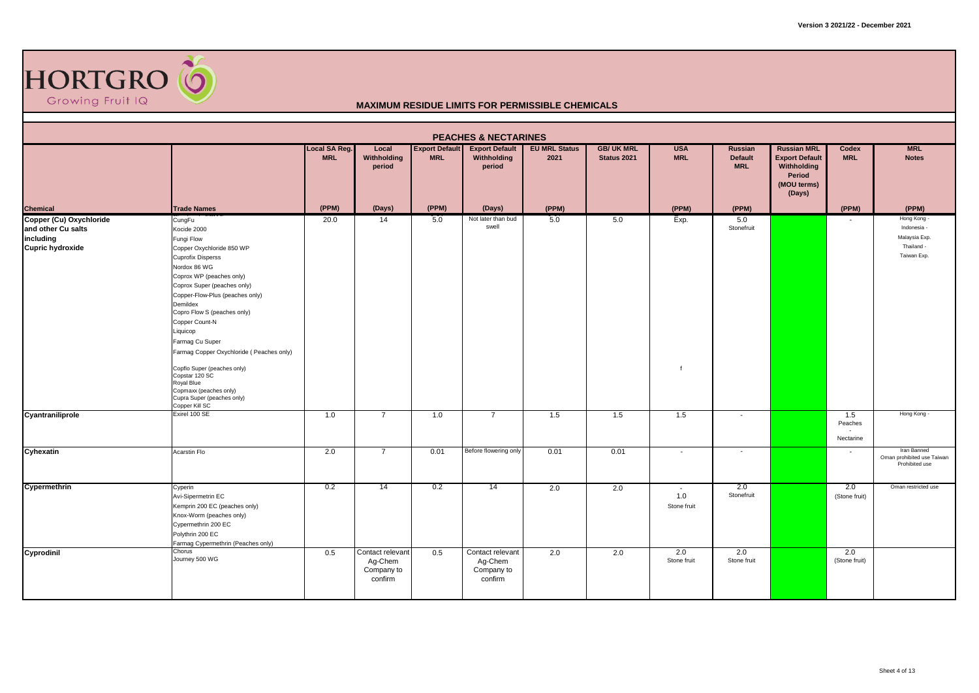

|                                                            |                                                                                                                                                                                                                                                                                                                                                                                                                                                                                             |                             |                                                      |                                     | <b>PEACHES &amp; NECTARINES</b>                      |                              |                                  |                              |                                         |                                                                                               |                                       |                                                                          |
|------------------------------------------------------------|---------------------------------------------------------------------------------------------------------------------------------------------------------------------------------------------------------------------------------------------------------------------------------------------------------------------------------------------------------------------------------------------------------------------------------------------------------------------------------------------|-----------------------------|------------------------------------------------------|-------------------------------------|------------------------------------------------------|------------------------------|----------------------------------|------------------------------|-----------------------------------------|-----------------------------------------------------------------------------------------------|---------------------------------------|--------------------------------------------------------------------------|
|                                                            |                                                                                                                                                                                                                                                                                                                                                                                                                                                                                             | Local SA Reg.<br><b>MRL</b> | Local<br>Withholding<br>period                       | <b>Export Default</b><br><b>MRL</b> | <b>Export Default</b><br>Withholding<br>period       | <b>EU MRL Status</b><br>2021 | <b>GB/ UK MRL</b><br>Status 2021 | <b>USA</b><br><b>MRL</b>     | Russian<br><b>Default</b><br><b>MRL</b> | <b>Russian MRL</b><br><b>Export Default</b><br>Withholding<br>Period<br>(MOU terms)<br>(Days) | Codex<br><b>MRL</b>                   | <b>MRL</b><br><b>Notes</b>                                               |
| Chemical<br>Copper (Cu) Oxychloride                        | <b>Trade Names</b>                                                                                                                                                                                                                                                                                                                                                                                                                                                                          | (PPM)                       | (Days)                                               | (PPM)                               | (Days)                                               | (PPM)                        |                                  | (PPM)                        | (PPM)                                   |                                                                                               | (PPM)                                 | (PPM)                                                                    |
| and other Cu salts<br>including<br><b>Cupric hydroxide</b> | CungFu<br>Kocide 2000<br>Fungi Flow<br>Copper Oxychloride 850 WP<br><b>Cuprofix Disperss</b><br>Nordox 86 WG<br>Coprox WP (peaches only)<br>Coprox Super (peaches only)<br>Copper-Flow-Plus (peaches only)<br>Demildex<br>Copro Flow S (peaches only)<br>Copper Count-N<br>Liquicop<br>Farmag Cu Super<br>Farmag Copper Oxychloride (Peaches only)<br>Copflo Super (peaches only)<br>Copstar 120 SC<br>Royal Blue<br>Copmaxx (peaches only)<br>Cupra Super (peaches only)<br>Copper Kill SC | 20.0                        | 14                                                   | 5.0                                 | Not later than bud<br>swell                          | 5.0                          | 5.0                              | Exp.<br>$\overline{f}$       | 5.0<br>Stonefruit                       |                                                                                               | $\sim$                                | Hong Kong -<br>Indonesia -<br>Malaysia Exp.<br>Thailand -<br>Taiwan Exp. |
| Cyantraniliprole                                           | Exirel 100 SE                                                                                                                                                                                                                                                                                                                                                                                                                                                                               | 1.0                         | $\overline{7}$                                       | 1.0                                 | $\overline{7}$                                       | 1.5                          | 1.5                              | 1.5                          | $\overline{\phantom{a}}$                |                                                                                               | 1.5<br>Peaches<br>$\sim$<br>Nectarine | Hong Kong -                                                              |
| Cyhexatin                                                  | Acarstin Flo                                                                                                                                                                                                                                                                                                                                                                                                                                                                                | 2.0                         | $\overline{7}$                                       | 0.01                                | Before flowering only                                | 0.01                         | 0.01                             | $\overline{\phantom{a}}$     | $\sim$                                  |                                                                                               | $\sim$                                | Iran Banned<br>Oman prohibited use Taiwan<br>Prohibited use              |
| Cypermethrin                                               | Cyperin<br>Avi-Sipermetrin EC<br>Kemprin 200 EC (peaches only)<br>Knox-Worm (peaches only)<br>Cypermethrin 200 EC<br>Polythrin 200 EC<br>Farmag Cypermethrin (Peaches only)                                                                                                                                                                                                                                                                                                                 | 0.2                         | 14                                                   | 0.2                                 | -14                                                  | 2.0                          | 2.0                              | $\sim$<br>1.0<br>Stone fruit | 2.0<br>Stonefruit                       |                                                                                               | 2.0<br>(Stone fruit)                  | Oman restricted use                                                      |
| Cyprodinil                                                 | Chorus<br>Journey 500 WG                                                                                                                                                                                                                                                                                                                                                                                                                                                                    | 0.5                         | Contact relevant<br>Ag-Chem<br>Company to<br>confirm | 0.5                                 | Contact relevant<br>Ag-Chem<br>Company to<br>confirm | 2.0                          | 2.0                              | 2.0<br>Stone fruit           | 2.0<br>Stone fruit                      |                                                                                               | 2.0<br>(Stone fruit)                  |                                                                          |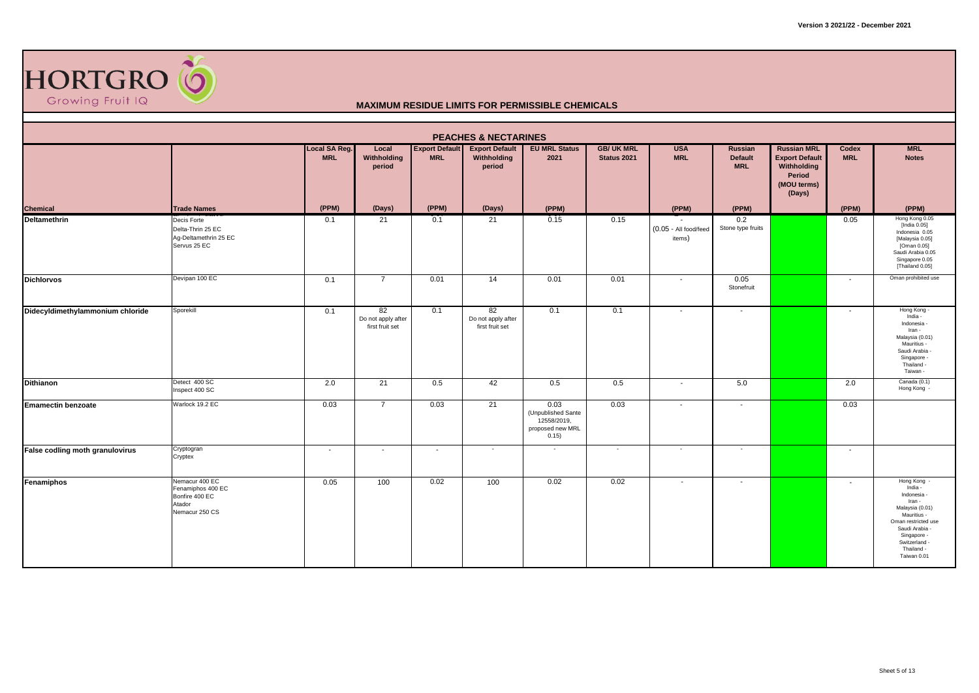

|                                  |                                                                                   |                             |                                             |                                     | <b>PEACHES &amp; NECTARINES</b>                |                                                                        |                                  |                                 |                                         |                                                                                               |                          |                                                                                                                                                                                       |
|----------------------------------|-----------------------------------------------------------------------------------|-----------------------------|---------------------------------------------|-------------------------------------|------------------------------------------------|------------------------------------------------------------------------|----------------------------------|---------------------------------|-----------------------------------------|-----------------------------------------------------------------------------------------------|--------------------------|---------------------------------------------------------------------------------------------------------------------------------------------------------------------------------------|
|                                  |                                                                                   | Local SA Reg.<br><b>MRL</b> | Local<br>Withholding<br>period              | <b>Export Default</b><br><b>MRL</b> | <b>Export Default</b><br>Withholding<br>period | <b>EU MRL Status</b><br>2021                                           | <b>GB/ UK MRL</b><br>Status 2021 | <b>USA</b><br><b>MRL</b>        | Russian<br><b>Default</b><br><b>MRL</b> | <b>Russian MRL</b><br><b>Export Default</b><br>Withholding<br>Period<br>(MOU terms)<br>(Days) | Codex<br><b>MRL</b>      | <b>MRL</b><br><b>Notes</b>                                                                                                                                                            |
| <b>Chemical</b>                  | <b>Trade Names</b>                                                                | (PPM)                       | (Days)                                      | (PPM)                               | (Days)                                         | (PPM)                                                                  |                                  | (PPM)                           | (PPM)                                   |                                                                                               | (PPM)                    | (PPM)                                                                                                                                                                                 |
| <b>Deltamethrin</b>              | Decis Forte<br>Delta-Thrin 25 EC<br>Ag-Deltamethrin 25 EC<br>Servus 25 EC         | 0.1                         | 21                                          | 0.1                                 | 21                                             | 0.15                                                                   | 0.15                             | (0.05 - All food/feed<br>items) | 0.2<br>Stone type fruits                |                                                                                               | 0.05                     | Hong Kong 0.05<br>[India 0.05]<br>Indonesia 0.05<br>[Malaysia 0.05]<br>[Oman 0.05]<br>Saudi Arabia 0.05<br>Singapore 0.05<br>[Thailand 0.05]                                          |
| <b>Dichlorvos</b>                | Devipan 100 EC                                                                    | 0.1                         | $\overline{7}$                              | 0.01                                | 14                                             | 0.01                                                                   | 0.01                             | $\overline{\phantom{a}}$        | 0.05<br>Stonefruit                      |                                                                                               | $\sim$                   | Oman prohibited use                                                                                                                                                                   |
| Didecyldimethylammonium chloride | Sporekill                                                                         | 0.1                         | 82<br>Do not apply after<br>first fruit set | 0.1                                 | 82<br>Do not apply after<br>first fruit set    | 0.1                                                                    | 0.1                              | $\sim$                          | $\overline{\phantom{a}}$                |                                                                                               | $\overline{\phantom{a}}$ | Hong Kong -<br>India -<br>Indonesia -<br>Iran -<br>Malaysia (0.01)<br>Mauritius -<br>Saudi Arabia -<br>Singapore -<br>Thailand -<br>Taiwan -                                          |
| <b>Dithianon</b>                 | Detect 400 SC<br>Inspect 400 SC                                                   | 2.0                         | 21                                          | 0.5                                 | 42                                             | 0.5                                                                    | 0.5                              | $\sim$                          | 5.0                                     |                                                                                               | 2.0                      | Canada (0.1)<br>Hong Kong -                                                                                                                                                           |
| <b>Emamectin benzoate</b>        | Warlock 19.2 EC                                                                   | 0.03                        | $\overline{7}$                              | 0.03                                | 21                                             | 0.03<br>(Unpublished Sante<br>12558/2019,<br>proposed new MRL<br>0.15) | 0.03                             | $\sim$                          | $\overline{\phantom{a}}$                |                                                                                               | 0.03                     |                                                                                                                                                                                       |
| False codling moth granulovirus  | Cryptogran<br>Cryptex                                                             | $\overline{\phantom{a}}$    | $\overline{\phantom{0}}$                    | $\sim$                              | $\sim$                                         | $\overline{\phantom{a}}$                                               | $\sim$                           | $\sim$                          | $\sim$                                  |                                                                                               | $\sim$                   |                                                                                                                                                                                       |
| Fenamiphos                       | Nemacur 400 EC<br>Fenamiphos 400 EC<br>Bonfire 400 EC<br>Atador<br>Nemacur 250 CS | 0.05                        | 100                                         | 0.02                                | 100                                            | 0.02                                                                   | 0.02                             | $\overline{\phantom{a}}$        | $\overline{\phantom{a}}$                |                                                                                               | $\sim$                   | Hong Kong<br>India -<br>Indonesia -<br>Iran -<br>Malaysia (0.01)<br>Mauritius -<br>Oman restricted use<br>Saudi Arabia -<br>Singapore -<br>Switzerland -<br>Thailand -<br>Taiwan 0.01 |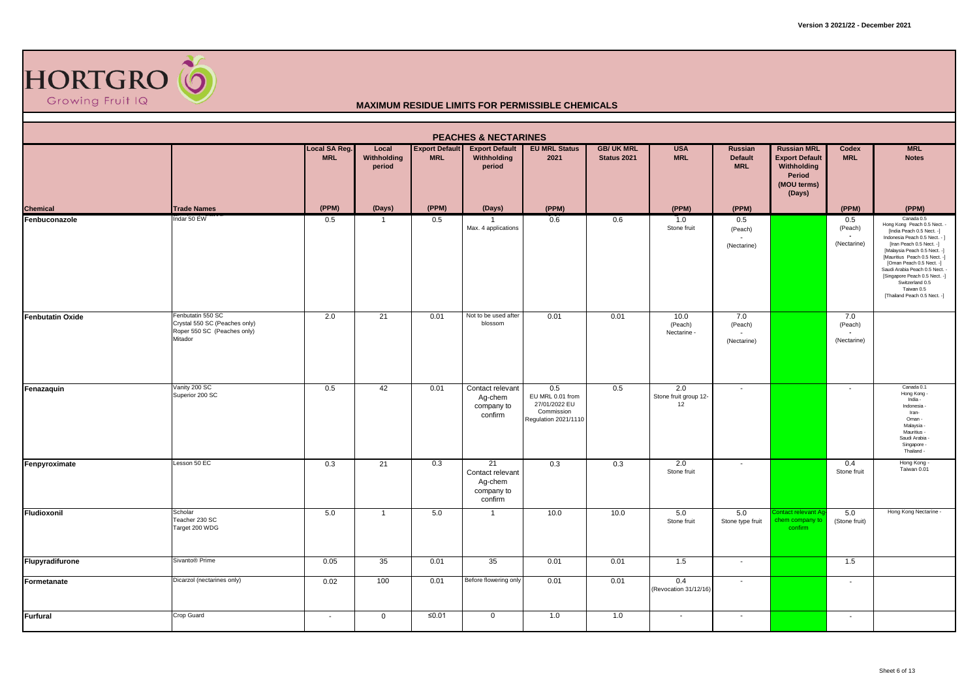

|                         |                                                                                              |                             |                                |                                     | <b>PEACHES &amp; NECTARINES</b>                            |                                                                                |                                         |                                    |                                                |                                                                                                      |                                                           |                                                                                                                                                                                                                                                                                                                                                                      |
|-------------------------|----------------------------------------------------------------------------------------------|-----------------------------|--------------------------------|-------------------------------------|------------------------------------------------------------|--------------------------------------------------------------------------------|-----------------------------------------|------------------------------------|------------------------------------------------|------------------------------------------------------------------------------------------------------|-----------------------------------------------------------|----------------------------------------------------------------------------------------------------------------------------------------------------------------------------------------------------------------------------------------------------------------------------------------------------------------------------------------------------------------------|
|                         |                                                                                              | Local SA Reg.<br><b>MRL</b> | Local<br>Withholding<br>period | <b>Export Default</b><br><b>MRL</b> | <b>Export Default</b><br>Withholding<br>period             | <b>EU MRL Status</b><br>2021                                                   | <b>GB/ UK MRL</b><br><b>Status 2021</b> | <b>USA</b><br><b>MRL</b>           | <b>Russian</b><br><b>Default</b><br><b>MRL</b> | <b>Russian MRL</b><br><b>Export Default</b><br><b>Withholding</b><br>Period<br>(MOU terms)<br>(Days) | Codex<br><b>MRL</b>                                       | <b>MRL</b><br><b>Notes</b>                                                                                                                                                                                                                                                                                                                                           |
| <b>Chemical</b>         | <b>Trade Names</b>                                                                           | (PPM)                       | (Days)                         | (PPM)                               | (Days)                                                     | (PPM)                                                                          |                                         | (PPM)                              | (PPM)                                          |                                                                                                      | (PPM)                                                     | (PPM)                                                                                                                                                                                                                                                                                                                                                                |
| Fenbuconazole           | Indar 50 EW                                                                                  | 0.5                         | $\mathbf{1}$                   | 0.5                                 | Max. 4 applications                                        | 0.6                                                                            | 0.6                                     | 1.0<br>Stone fruit                 | 0.5<br>(Peach)<br>(Nectarine)                  |                                                                                                      | 0.5<br>(Peach)<br>(Nectarine)                             | Canada 0.5<br>Hong Kong Peach 0.5 Nect. -<br>[India Peach 0.5 Nect. -]<br>Indonesia Peach 0.5 Nect. - ]<br>[Iran Peach 0.5 Nect. -]<br>[Malaysia Peach 0.5 Nect. -]<br>[Mauritius Peach 0.5 Nect. -]<br>[Oman Peach 0.5 Nect. -]<br>Saudi Arabia Peach 0.5 Nect. -<br>[Singapore Peach 0.5 Nect. -]<br>Switzerland 0.5<br>Taiwan 0.5<br>[Thailand Peach 0.5 Nect. -] |
| <b>Fenbutatin Oxide</b> | Fenbutatin 550 SC<br>Crystal 550 SC (Peaches only)<br>Roper 550 SC (Peaches only)<br>Mitador | 2.0                         | 21                             | 0.01                                | Not to be used after<br>blossom                            | 0.01                                                                           | 0.01                                    | 10.0<br>(Peach)<br>Nectarine -     | 7.0<br>(Peach)<br>(Nectarine)                  |                                                                                                      | 7.0<br>(Peach)<br>$\overline{\phantom{a}}$<br>(Nectarine) |                                                                                                                                                                                                                                                                                                                                                                      |
| Fenazaquin              | Vanity 200 SC<br>Superior 200 SC                                                             | 0.5                         | 42                             | 0.01                                | Contact relevant<br>Ag-chem<br>company to<br>confirm       | 0.5<br>EU MRL 0.01 from<br>27/01/2022 EU<br>Commission<br>Regulation 2021/1110 | 0.5                                     | 2.0<br>Stone fruit group 12-<br>12 | $\overline{\phantom{a}}$                       |                                                                                                      | $\sim$                                                    | Canada 0.1<br>Hong Kong -<br>India -<br>Indonesia -<br>Iran-<br>Oman -<br>Malaysia -<br>Mauritius -<br>Saudi Arabia<br>Singapore -<br>Thailand -                                                                                                                                                                                                                     |
| Fenpyroximate           | Lesson 50 EC                                                                                 | 0.3                         | 21                             | 0.3                                 | 21<br>Contact relevant<br>Ag-chem<br>company to<br>confirm | 0.3                                                                            | 0.3                                     | 2.0<br>Stone fruit                 |                                                |                                                                                                      | 0.4<br>Stone fruit                                        | Hong Kong -<br>Taiwan 0.01                                                                                                                                                                                                                                                                                                                                           |
| Fludioxonil             | Scholar<br>Teacher 230 SC<br>Target 200 WDG                                                  | 5.0                         | $\mathbf{1}$                   | 5.0                                 | $\overline{1}$                                             | 10.0                                                                           | 10.0                                    | 5.0<br>Stone fruit                 | 5.0<br>Stone type fruit                        | intact relevant A<br>hem company to<br>confirm                                                       | 5.0<br>(Stone fruit)                                      | Hong Kong Nectarine -                                                                                                                                                                                                                                                                                                                                                |
| Flupyradifurone         | Sivanto® Prime                                                                               | 0.05                        | 35                             | 0.01                                | 35                                                         | 0.01                                                                           | 0.01                                    | 1.5                                | $\sim$                                         |                                                                                                      | 1.5                                                       |                                                                                                                                                                                                                                                                                                                                                                      |
| Formetanate             | Dicarzol (nectarines only)                                                                   | 0.02                        | 100                            | 0.01                                | Before flowering only                                      | 0.01                                                                           | 0.01                                    | 0.4<br>(Revocation 31/12/16)       | $\sim$                                         |                                                                                                      | $\sim$                                                    |                                                                                                                                                                                                                                                                                                                                                                      |
| <b>Furfural</b>         | Crop Guard                                                                                   | $\sim$                      | $\mathbf 0$                    | $≤0.01$                             | $\mathbf 0$                                                | 1.0                                                                            | 1.0                                     | $\overline{\phantom{a}}$           | $\sim$                                         |                                                                                                      | $\sim$                                                    |                                                                                                                                                                                                                                                                                                                                                                      |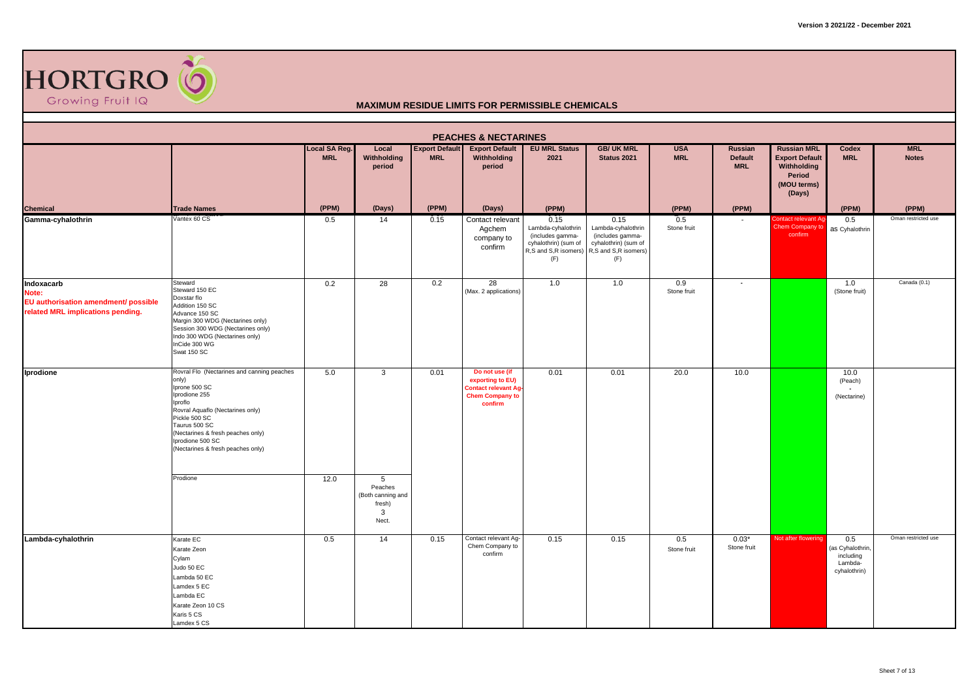

|                                                                                                  | <b>PEACHES &amp; NECTARINES</b>                                                                                                                                                                                                                                      |                             |                                                           |                                     |                                                                                                       |                                                                               |                                                                                                                            |                          |                                         |                                                                                               |                                                                 |                            |  |  |
|--------------------------------------------------------------------------------------------------|----------------------------------------------------------------------------------------------------------------------------------------------------------------------------------------------------------------------------------------------------------------------|-----------------------------|-----------------------------------------------------------|-------------------------------------|-------------------------------------------------------------------------------------------------------|-------------------------------------------------------------------------------|----------------------------------------------------------------------------------------------------------------------------|--------------------------|-----------------------------------------|-----------------------------------------------------------------------------------------------|-----------------------------------------------------------------|----------------------------|--|--|
|                                                                                                  |                                                                                                                                                                                                                                                                      | Local SA Reg.<br><b>MRL</b> | Local<br>Withholding<br>period                            | <b>Export Default</b><br><b>MRL</b> | <b>Export Default</b><br>Withholding<br>period                                                        | <b>EU MRL Status</b><br>2021                                                  | <b>GB/ UK MRL</b><br>Status 2021                                                                                           | <b>USA</b><br><b>MRL</b> | Russian<br><b>Default</b><br><b>MRL</b> | <b>Russian MRL</b><br><b>Export Default</b><br>Withholding<br>Period<br>(MOU terms)<br>(Days) | Codex<br><b>MRL</b>                                             | <b>MRL</b><br><b>Notes</b> |  |  |
| Chemical<br>Gamma-cyhalothrin                                                                    | <b>Trade Names</b>                                                                                                                                                                                                                                                   | (PPM)                       | (Days)                                                    | (PPM)                               | (Days)                                                                                                | (PPM)                                                                         |                                                                                                                            | (PPM)                    | (PPM)                                   |                                                                                               | (PPM)                                                           | (PPM)                      |  |  |
|                                                                                                  | Vantex 60 CS                                                                                                                                                                                                                                                         | 0.5                         | 14                                                        | 0.15                                | Contact relevant<br>Agchem<br>company to<br>confirm                                                   | 0.15<br>Lambda-cyhalothrin<br>(includes gamma-<br>cyhalothrin) (sum of<br>(F) | 0.15<br>Lambda-cyhalothrin<br>(includes gamma-<br>cyhalothrin) (sum of<br>R,S and S,R isomers) R,S and S,R isomers)<br>(F) | 0.5<br>Stone fruit       |                                         | Contact relevant Ag<br>Chem Company to<br>confirm                                             | 0.5<br>as Cyhalothrin                                           | Oman restricted use        |  |  |
| Indoxacarb<br>Note:<br>EU authorisation amendment/ possible<br>related MRL implications pending. | Steward<br>Steward 150 EC<br>Doxstar flo<br>Addition 150 SC<br>Advance 150 SC<br>Margin 300 WDG (Nectarines only)<br>Session 300 WDG (Nectarines only)<br>Indo 300 WDG (Nectarines only)<br>InCide 300 WG<br>Swat 150 SC                                             | 0.2                         | 28                                                        | 0.2                                 | 28<br>(Max. 2 applications)                                                                           | 1.0                                                                           | 1.0                                                                                                                        | 0.9<br>Stone fruit       | $\sim$                                  |                                                                                               | 1.0<br>(Stone fruit)                                            | Canada (0.1)               |  |  |
| Iprodione                                                                                        | Rovral Flo (Nectarines and canning peaches<br>only)<br>Iprone 500 SC<br>Iprodione 255<br>Iproflo<br>Rovral Aquaflo (Nectarines only)<br>Pickle 500 SC<br>Taurus 500 SC<br>(Nectarines & fresh peaches only)<br>Iprodione 500 SC<br>(Nectarines & fresh peaches only) | 5.0                         | $\mathbf{3}$                                              | 0.01                                | Do not use (if<br>exporting to EU)<br><b>Contact relevant Ag</b><br><b>Chem Company to</b><br>confirm | 0.01                                                                          | 0.01                                                                                                                       | 20.0                     | 10.0                                    |                                                                                               | 10.0<br>(Peach)<br>(Nectarine)                                  |                            |  |  |
|                                                                                                  | Prodione                                                                                                                                                                                                                                                             | 12.0                        | 5<br>Peaches<br>(Both canning and<br>fresh)<br>3<br>Nect. |                                     |                                                                                                       |                                                                               |                                                                                                                            |                          |                                         |                                                                                               |                                                                 |                            |  |  |
| Lambda-cyhalothrin                                                                               | Karate EC<br>Karate Zeon<br>Cylam<br>Judo 50 EC<br>Lambda 50 EC<br>Lamdex 5 EC<br>Lambda EC<br>Karate Zeon 10 CS<br>Karis 5 CS<br>Lamdex 5 CS                                                                                                                        | 0.5                         | 14                                                        | 0.15                                | Contact relevant Ag-<br>Chem Company to<br>confirm                                                    | 0.15                                                                          | 0.15                                                                                                                       | 0.5<br>Stone fruit       | $0.03*$<br>Stone fruit                  | Not after flowering                                                                           | 0.5<br>(as Cyhalothrin,<br>including<br>Lambda-<br>cyhalothrin) | Oman restricted use        |  |  |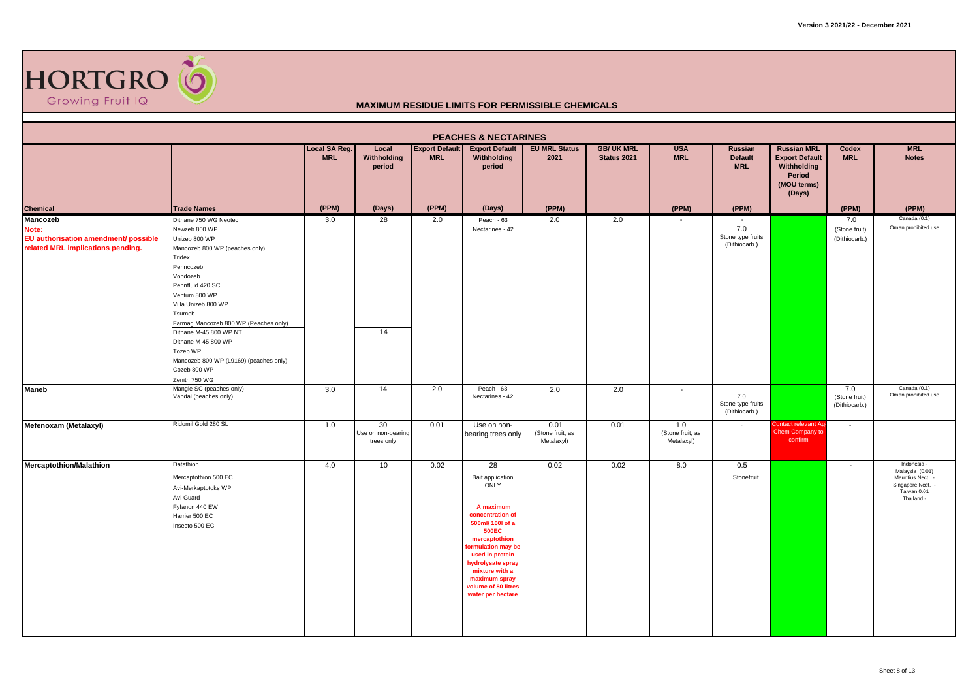

|                                                                                                       |                                                                                                                                                                                                                                             |                             |                                        |                                     | <b>PEACHES &amp; NECTARINES</b>                                                                                                                                                                                                                                   |                                        |                                  |                                       |                                                |                                                                                               |                                       |                                                                                                       |
|-------------------------------------------------------------------------------------------------------|---------------------------------------------------------------------------------------------------------------------------------------------------------------------------------------------------------------------------------------------|-----------------------------|----------------------------------------|-------------------------------------|-------------------------------------------------------------------------------------------------------------------------------------------------------------------------------------------------------------------------------------------------------------------|----------------------------------------|----------------------------------|---------------------------------------|------------------------------------------------|-----------------------------------------------------------------------------------------------|---------------------------------------|-------------------------------------------------------------------------------------------------------|
|                                                                                                       |                                                                                                                                                                                                                                             | Local SA Reg.<br><b>MRL</b> | Local<br>Withholding<br>period         | <b>Export Default</b><br><b>MRL</b> | <b>Export Default</b><br>Withholding<br>period                                                                                                                                                                                                                    | <b>EU MRL Status</b><br>2021           | <b>GB/ UK MRL</b><br>Status 2021 | <b>USA</b><br><b>MRL</b>              | <b>Russian</b><br><b>Default</b><br><b>MRL</b> | <b>Russian MRL</b><br><b>Export Default</b><br>Withholding<br>Period<br>(MOU terms)<br>(Days) | Codex<br><b>MRL</b>                   | <b>MRL</b><br><b>Notes</b>                                                                            |
| <b>Chemical</b>                                                                                       | <b>Trade Names</b>                                                                                                                                                                                                                          | (PPM)                       | (Days)                                 | (PPM)                               | (Days)                                                                                                                                                                                                                                                            | (PPM)                                  |                                  | (PPM)                                 | (PPM)                                          |                                                                                               | (PPM)                                 | (PPM)                                                                                                 |
| <b>Mancozeb</b><br>Note:<br>EU authorisation amendment/ possible<br>related MRL implications pending. | Dithane 750 WG Neotec<br>Newzeb 800 WP<br>Unizeb 800 WP<br>Mancozeb 800 WP (peaches only)<br>Tridex<br>Penncozeb<br>Vondozeb<br>Pennfluid 420 SC<br>Ventum 800 WP<br>Villa Unizeb 800 WP<br>Tsumeb<br>Farmag Mancozeb 800 WP (Peaches only) | 3.0                         | 28                                     | 2.0                                 | Peach - 63<br>Nectarines - 42                                                                                                                                                                                                                                     | 2.0                                    | 2.0                              |                                       | 7.0<br>Stone type fruits<br>(Dithiocarb.)      |                                                                                               | 7.0<br>(Stone fruit)<br>(Dithiocarb.) | Canada (0.1)<br>Oman prohibited use                                                                   |
| <b>Maneb</b>                                                                                          | Dithane M-45 800 WP NT<br>Dithane M-45 800 WP<br>Tozeb WP<br>Mancozeb 800 WP (L9169) (peaches only)<br>Cozeb 800 WP<br>Zenith 750 WG<br>Mangle SC (peaches only)                                                                            | 3.0                         | 14<br>14                               | 2.0                                 | Peach - 63                                                                                                                                                                                                                                                        | 2.0                                    | 2.0                              | $\overline{\phantom{a}}$              | $\sim$                                         |                                                                                               | 7.0                                   | Canada (0.1)                                                                                          |
|                                                                                                       | Vandal (peaches only)                                                                                                                                                                                                                       |                             |                                        |                                     | Nectarines - 42                                                                                                                                                                                                                                                   |                                        |                                  |                                       | 7.0<br>Stone type fruits<br>(Dithiocarb.)      |                                                                                               | (Stone fruit)<br>(Dithiocarb.)        | Oman prohibited use                                                                                   |
| Mefenoxam (Metalaxyl)                                                                                 | Ridomil Gold 280 SL                                                                                                                                                                                                                         | 1.0                         | 30<br>Use on non-bearing<br>trees only | 0.01                                | Use on non-<br>bearing trees only                                                                                                                                                                                                                                 | 0.01<br>(Stone fruit, as<br>Metalaxyl) | 0.01                             | 1.0<br>(Stone fruit, as<br>Metalaxyl) | $\sim$                                         | Contact relevant Aq<br>Chem Company to<br>confirm                                             | $\overline{\phantom{a}}$              |                                                                                                       |
| <b>Mercaptothion/Malathion</b>                                                                        | Datathion<br>Mercaptothion 500 EC<br>Avi-Merkaptotoks WP<br>Avi Guard<br>Fyfanon 440 EW<br>Harrier 500 EC<br>Insecto 500 EC                                                                                                                 | 4.0                         | 10                                     | 0.02                                | 28<br>Bait application<br>ONLY<br>A maximum<br>concentration of<br>500ml/ 100l of a<br><b>500EC</b><br>mercaptothion<br>formulation may be<br>used in protein<br>hydrolysate spray<br>mixture with a<br>maximum spray<br>volume of 50 litres<br>water per hectare | 0.02                                   | 0.02                             | 8.0                                   | 0.5<br>Stonefruit                              |                                                                                               | $\overline{\phantom{a}}$              | Indonesia -<br>Malaysia (0.01)<br>Mauritius Nect. -<br>Singapore Nect. -<br>Taiwan 0.01<br>Thailand - |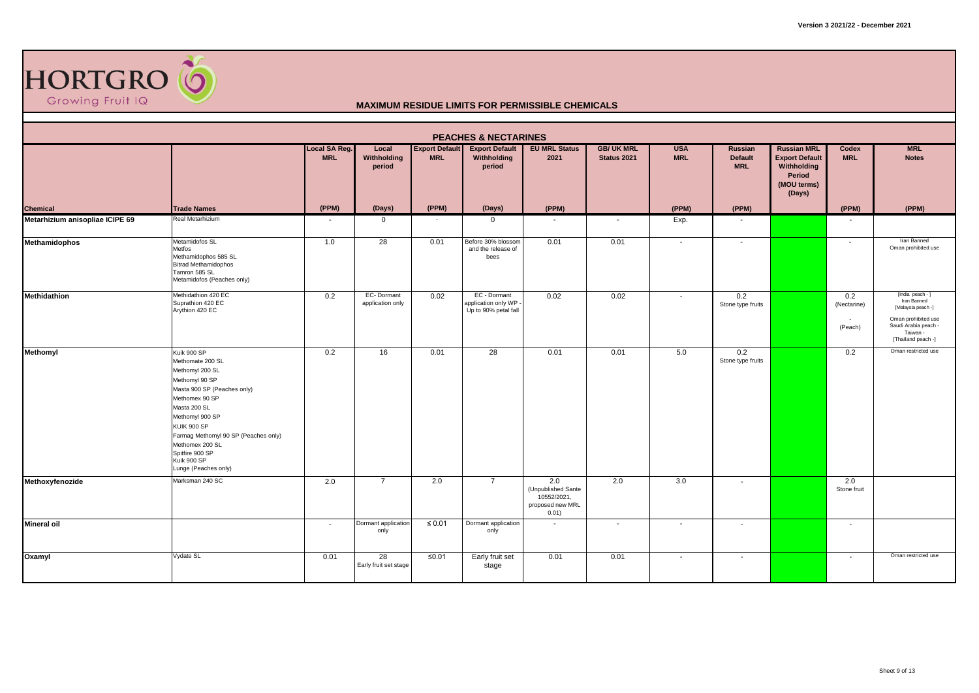

|                                 |                                                                                                                                                                                                                                                                                                     |                             |                                          |                                     | <b>PEACHES &amp; NECTARINES</b>                               |                                                                       |                                  |                          |                                         |                                                                                               |                               |                                                                                                                                        |
|---------------------------------|-----------------------------------------------------------------------------------------------------------------------------------------------------------------------------------------------------------------------------------------------------------------------------------------------------|-----------------------------|------------------------------------------|-------------------------------------|---------------------------------------------------------------|-----------------------------------------------------------------------|----------------------------------|--------------------------|-----------------------------------------|-----------------------------------------------------------------------------------------------|-------------------------------|----------------------------------------------------------------------------------------------------------------------------------------|
|                                 |                                                                                                                                                                                                                                                                                                     | Local SA Reg.<br><b>MRL</b> | Local<br>Withholding<br>period           | <b>Export Default</b><br><b>MRL</b> | <b>Export Default</b><br>Withholding<br>period                | <b>EU MRL Status</b><br>2021                                          | <b>GB/ UK MRL</b><br>Status 2021 | <b>USA</b><br><b>MRL</b> | Russian<br><b>Default</b><br><b>MRL</b> | <b>Russian MRL</b><br><b>Export Default</b><br>Withholding<br>Period<br>(MOU terms)<br>(Days) | Codex<br><b>MRL</b>           | <b>MRL</b><br><b>Notes</b>                                                                                                             |
| <b>Chemical</b>                 | <b>Trade Names</b>                                                                                                                                                                                                                                                                                  | (PPM)                       | (Days)                                   | (PPM)                               | (Days)                                                        | (PPM)                                                                 |                                  | (PPM)                    | (PPM)                                   |                                                                                               | (PPM)                         | (PPM)                                                                                                                                  |
| Metarhizium anisopliae ICIPE 69 | Real Metarhizium                                                                                                                                                                                                                                                                                    |                             | $\mathbf{0}$                             |                                     | $\mathbf 0$                                                   | $\overline{\phantom{a}}$                                              | $\overline{\phantom{a}}$         | Exp.                     | $\overline{\phantom{a}}$                |                                                                                               | $\sim$                        |                                                                                                                                        |
| <b>Methamidophos</b>            | Metamidofos SL<br>Metfos<br>Methamidophos 585 SL<br><b>Bitrad Methamidophos</b><br>Tamron 585 SL<br>Metamidofos (Peaches only)                                                                                                                                                                      | 1.0                         | 28                                       | 0.01                                | Before 30% blossom<br>and the release of<br>bees              | 0.01                                                                  | 0.01                             | $\overline{\phantom{a}}$ | $\overline{\phantom{a}}$                |                                                                                               | $\sim$                        | Iran Banned<br>Oman prohibited use                                                                                                     |
| Methidathion                    | Methidathion 420 EC<br>Suprathion 420 EC<br>Arythion 420 EC                                                                                                                                                                                                                                         | 0.2                         | EC-Dormant<br>application only           | 0.02                                | EC - Dormant<br>application only WP -<br>Up to 90% petal fall | 0.02                                                                  | 0.02                             | $\overline{\phantom{a}}$ | 0.2<br>Stone type fruits                |                                                                                               | 0.2<br>(Nectarine)<br>(Peach) | [India peach - ]<br>Iran Banned<br>[Malaysia peach -]<br>Oman prohibited use<br>Saudi Arabia peach -<br>Taiwan -<br>[Thailand peach -] |
| Methomyl                        | Kuik 900 SP<br>Methomate 200 SL<br>Methomyl 200 SL<br>Methomyl 90 SP<br>Masta 900 SP (Peaches only)<br>Methomex 90 SP<br>Masta 200 SL<br>Methomyl 900 SP<br><b>KUIK 900 SP</b><br>Farmag Methomyl 90 SP (Peaches only)<br>Methomex 200 SL<br>Spitfire 900 SP<br>Kuik 900 SP<br>Lunge (Peaches only) | 0.2                         | 16                                       | 0.01                                | 28                                                            | 0.01                                                                  | 0.01                             | 5.0                      | 0.2<br>Stone type fruits                |                                                                                               | 0.2                           | Oman restricted use                                                                                                                    |
| Methoxyfenozide                 | Marksman 240 SC                                                                                                                                                                                                                                                                                     | 2.0                         | $\overline{7}$                           | 2.0                                 | $\overline{7}$                                                | 2.0<br>(Unpublished Sante<br>10552/2021,<br>proposed new MRL<br>0.01) | 2.0                              | 3.0                      | $\overline{\phantom{0}}$                |                                                                                               | 2.0<br>Stone fruit            |                                                                                                                                        |
| <b>Mineral oil</b>              |                                                                                                                                                                                                                                                                                                     |                             | Dormant application<br>only              | $\leq 0.01$                         | Dormant application<br>only                                   |                                                                       | $\overline{\phantom{a}}$         | $\overline{\phantom{a}}$ | $\sim$                                  |                                                                                               | $\overline{\phantom{a}}$      |                                                                                                                                        |
| Oxamyl                          | Vydate SL                                                                                                                                                                                                                                                                                           | 0.01                        | $\overline{28}$<br>Early fruit set stage | ≤0.01                               | Early fruit set<br>stage                                      | 0.01                                                                  | 0.01                             | $\overline{\phantom{a}}$ | $\sim$                                  |                                                                                               | $\sim$                        | Oman restricted use                                                                                                                    |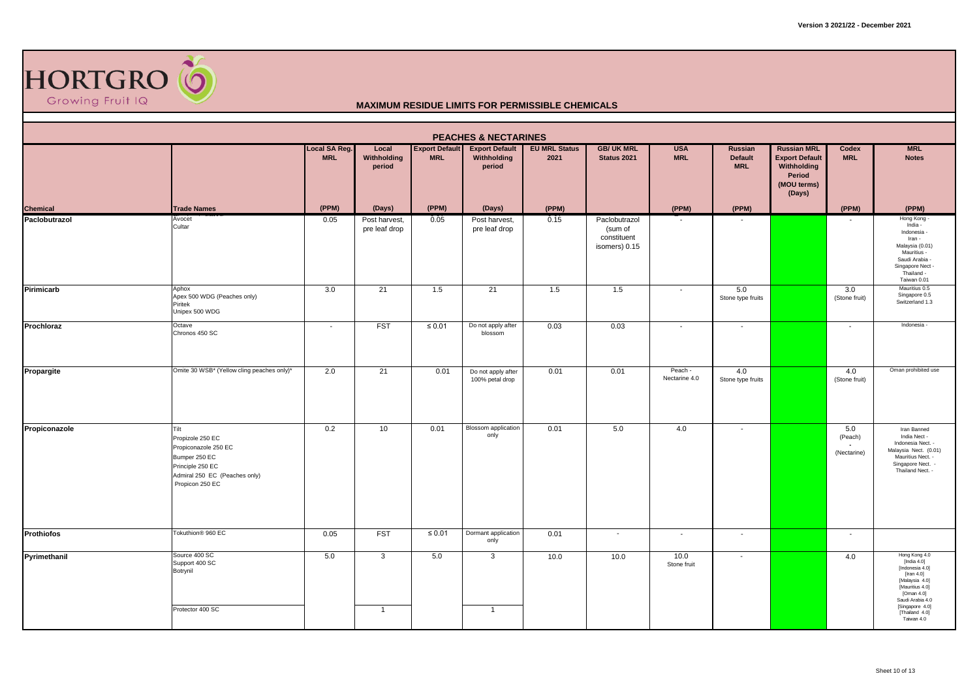

|                           | <b>PEACHES &amp; NECTARINES</b><br><b>MRL</b><br>Local SA Reg.<br>Local<br><b>Export Default</b><br><b>EU MRL Status</b><br><b>GB/ UK MRL</b><br><b>USA</b><br><b>Russian MRL</b><br>Codex<br><b>Export Default</b><br>Russian |                          |                                |             |                                       |       |                                                          |                          |                              |                                                                         |                               |                                                                                                                                                               |  |  |
|---------------------------|--------------------------------------------------------------------------------------------------------------------------------------------------------------------------------------------------------------------------------|--------------------------|--------------------------------|-------------|---------------------------------------|-------|----------------------------------------------------------|--------------------------|------------------------------|-------------------------------------------------------------------------|-------------------------------|---------------------------------------------------------------------------------------------------------------------------------------------------------------|--|--|
|                           |                                                                                                                                                                                                                                | <b>MRL</b>               | Withholding<br>period          | <b>MRL</b>  | Withholding<br>period                 | 2021  | <b>Status 2021</b>                                       | <b>MRL</b>               | <b>Default</b><br><b>MRL</b> | <b>Export Default</b><br>Withholding<br>Period<br>(MOU terms)<br>(Days) | <b>MRL</b>                    | <b>Notes</b>                                                                                                                                                  |  |  |
| Chemical<br>Paclobutrazol | <b>Trade Names</b>                                                                                                                                                                                                             | (PPM)                    | (Days)                         | (PPM)       | (Days)                                | (PPM) |                                                          | (PPM)                    | (PPM)                        |                                                                         | (PPM)                         | (PPM)                                                                                                                                                         |  |  |
|                           | Avocet<br>Cultar                                                                                                                                                                                                               | 0.05                     | Post harvest,<br>pre leaf drop | 0.05        | Post harvest,<br>pre leaf drop        | 0.15  | Paclobutrazol<br>(sum of<br>constituent<br>isomers) 0.15 |                          |                              |                                                                         |                               | Hong Kong<br>India -<br>Indonesia -<br>Iran -<br>Malaysia (0.01)<br>Mauritius -<br>Saudi Arabia -<br>Singapore Nect -<br>Thailand -<br>Taiwan 0.01            |  |  |
| Pirimicarb                | Aphox<br>Apex 500 WDG (Peaches only)<br>Piritek<br>Unipex 500 WDG                                                                                                                                                              | 3.0                      | 21                             | 1.5         | $\overline{21}$                       | 1.5   | 1.5                                                      | $\sim$                   | 5.0<br>Stone type fruits     |                                                                         | 3.0<br>(Stone fruit)          | Mauritius 0.5<br>Singapore 0.5<br>Switzerland 1.3                                                                                                             |  |  |
| Prochloraz                | Octave<br>Chronos 450 SC                                                                                                                                                                                                       | $\overline{\phantom{a}}$ | <b>FST</b>                     | $\leq 0.01$ | Do not apply after<br>blossom         | 0.03  | 0.03                                                     | $\overline{\phantom{a}}$ | $\sim$                       |                                                                         | $\overline{\phantom{a}}$      | Indonesia -                                                                                                                                                   |  |  |
| Propargite                | Omite 30 WSB* (Yellow cling peaches only)*                                                                                                                                                                                     | 2.0                      | 21                             | 0.01        | Do not apply after<br>100% petal drop | 0.01  | 0.01                                                     | Peach -<br>Nectarine 4.0 | 4.0<br>Stone type fruits     |                                                                         | 4.0<br>(Stone fruit)          | Oman prohibited use                                                                                                                                           |  |  |
| Propiconazole             | Tilt<br>Propizole 250 EC<br>Propiconazole 250 EC<br>Bumper 250 EC<br>Principle 250 EC<br>Admiral 250 EC (Peaches only)<br>Propicon 250 EC                                                                                      | 0.2                      | 10                             | 0.01        | Blossom application<br>only           | 0.01  | 5.0                                                      | 4.0                      | $\overline{\phantom{a}}$     |                                                                         | 5.0<br>(Peach)<br>(Nectarine) | Iran Banned<br>India Nect -<br>Indonesia Nect. -<br>Malaysia Nect. (0.01)<br>Mauritius Nect. -<br>Singapore Nect. -<br>Thailand Nect. -                       |  |  |
| <b>Prothiofos</b>         | Tokuthion <sup>®</sup> 960 EC                                                                                                                                                                                                  | 0.05                     | <b>FST</b>                     | $\leq 0.01$ | Dormant application<br>only           | 0.01  | $\sim$                                                   | $\sim$                   | $\sim$                       |                                                                         | $\sim$                        |                                                                                                                                                               |  |  |
| Pyrimethanil              | Source 400 SC<br>Support 400 SC<br>Botrynil<br>Protector 400 SC                                                                                                                                                                | 5.0                      | 3<br>$\overline{1}$            | 5.0         | 3<br>$\overline{1}$                   | 10.0  | 10.0                                                     | 10.0<br>Stone fruit      | $\overline{\phantom{a}}$     |                                                                         | 4.0                           | Hong Kong 4.0<br>[India 4.0]<br>[Indonesia 4.0]<br>[Iran $4.0$ ]<br>[Malaysia 4.0]<br>[Mauritius 4.0]<br>[Oman $4.0$ ]<br>Saudi Arabia 4.0<br>[Singapore 4.0] |  |  |
|                           |                                                                                                                                                                                                                                |                          |                                |             |                                       |       |                                                          |                          |                              |                                                                         |                               | [Thailand 4.0]<br>Taiwan 4.0                                                                                                                                  |  |  |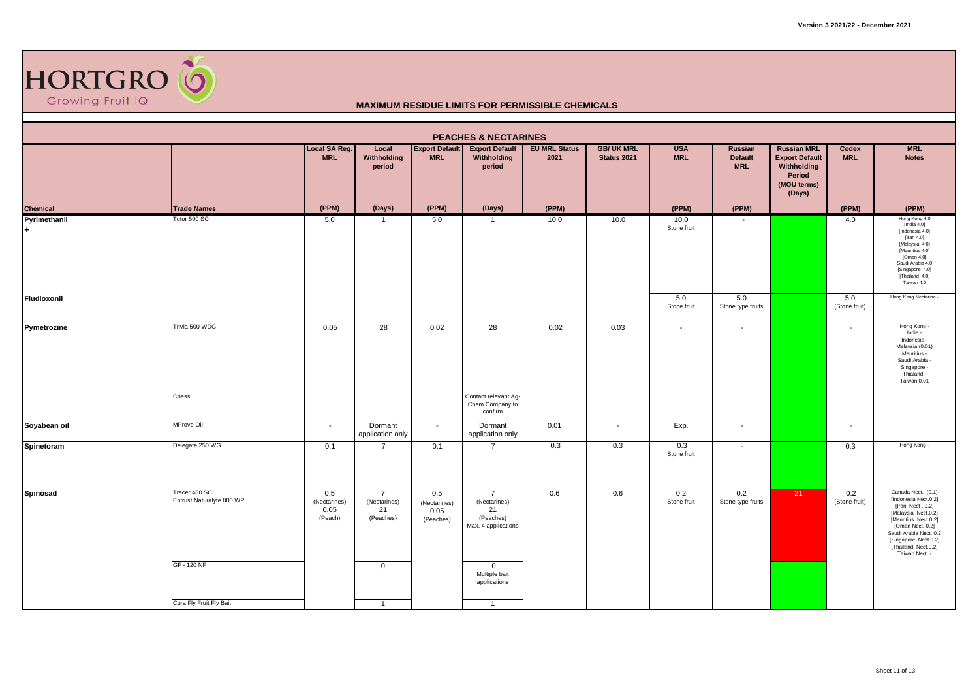

|                    |                                                           |                                        |                                                                  |                                          | <b>PEACHES &amp; NECTARINES</b>                                                                                           |                              |                                  |                          |                                                |                                                                                               |                      |                                                                                                                                                                                                                              |
|--------------------|-----------------------------------------------------------|----------------------------------------|------------------------------------------------------------------|------------------------------------------|---------------------------------------------------------------------------------------------------------------------------|------------------------------|----------------------------------|--------------------------|------------------------------------------------|-----------------------------------------------------------------------------------------------|----------------------|------------------------------------------------------------------------------------------------------------------------------------------------------------------------------------------------------------------------------|
|                    |                                                           | Local SA Reg.<br><b>MRL</b>            | Local<br>Withholding<br>period                                   | <b>Export Default</b><br><b>MRL</b>      | <b>Export Default</b><br>Withholding<br>period                                                                            | <b>EU MRL Status</b><br>2021 | <b>GB/ UK MRL</b><br>Status 2021 | <b>USA</b><br><b>MRL</b> | <b>Russian</b><br><b>Default</b><br><b>MRL</b> | <b>Russian MRL</b><br><b>Export Default</b><br>Withholding<br>Period<br>(MOU terms)<br>(Days) | Codex<br><b>MRL</b>  | <b>MRL</b><br><b>Notes</b>                                                                                                                                                                                                   |
| <b>Chemical</b>    | <b>Trade Names</b>                                        | (PPM)                                  | (Days)                                                           | (PPM)                                    | (Days)                                                                                                                    | (PPM)                        |                                  | (PPM)                    | (PPM)                                          |                                                                                               | (PPM)                | (PPM)                                                                                                                                                                                                                        |
| Pyrimethanil       | Tutor 500 SC                                              | 5.0                                    | $\overline{1}$                                                   | 5.0                                      | $\overline{1}$                                                                                                            | 10.0                         | 10.0                             | 10.0<br>Stone fruit      |                                                |                                                                                               | 4.0                  | Hong Kong 4.0<br>[India $4.0$ ]<br>[Indonesia 4.0]<br>[Iran $4.0$ ]<br>[Malaysia 4.0]<br>[Mauritius 4.0]<br>[Oman 4.0]<br>Saudi Arabia 4.0<br>[Singapore 4.0]<br>[Thailand 4.0]<br>Taiwan 4.0                                |
| <b>Fludioxonil</b> |                                                           |                                        |                                                                  |                                          |                                                                                                                           |                              |                                  | 5.0<br>Stone fruit       | 5.0<br>Stone type fruits                       |                                                                                               | 5.0<br>(Stone fruit) | Hong Kong Nectarine -                                                                                                                                                                                                        |
| Pymetrozine        | Trivia 500 WDG<br>Chess                                   | 0.05                                   | 28                                                               | 0.02                                     | 28<br>Contact relevant Ag-<br>Chem Company to<br>confirm                                                                  | 0.02                         | 0.03                             | $\sim$                   | $\overline{\phantom{a}}$                       |                                                                                               | $\sim$               | Hong Kong -<br>India -<br>Indonesia -<br>Malaysia (0.01)<br>Mauritius -<br>Saudi Arabia -<br>Singapore -<br>Thialand -<br>Taiwan 0.01                                                                                        |
| Soyabean oil       | MProve Oil                                                | $\overline{a}$                         | Dormant<br>application only                                      | $\sim$                                   | Dormant<br>application only                                                                                               | 0.01                         | $\overline{\phantom{a}}$         | Exp.                     | $\overline{\phantom{a}}$                       |                                                                                               | $\sim$               |                                                                                                                                                                                                                              |
| Spinetoram         | Delegate 250 WG                                           | 0.1                                    | $\overline{7}$                                                   | 0.1                                      | $\overline{7}$                                                                                                            | 0.3                          | 0.3                              | 0.3<br>Stone fruit       | $\overline{\phantom{a}}$                       |                                                                                               | 0.3                  | Hong Kong -                                                                                                                                                                                                                  |
| Spinosad           | Tracer 480 SC<br>Entrust Naturalyte 800 WP<br>GF - 120 NF | 0.5<br>(Nectarines)<br>0.05<br>(Peach) | $\overline{7}$<br>(Nectarines)<br>21<br>(Peaches)<br>$\mathbf 0$ | 0.5<br>(Nectarines)<br>0.05<br>(Peaches) | $\overline{7}$<br>(Nectarines)<br>21<br>(Peaches)<br>Max. 4 applications<br>$\mathbf{0}$<br>Multiple bait<br>applications | 0.6                          | 0.6                              | 0.2<br>Stone fruit       | 0.2<br>Stone type fruits                       | 21                                                                                            | 0.2<br>(Stone fruit) | Canada Nect. (0.1)<br>[Indonesia Nect.0.2]<br>[Iran Nect. 0.2]<br>[Malaysia Nect.0.2]<br>[Mauritius Nect.0.2]<br>[Oman Nect. 0.2]<br>Saudi Arabia Nect. 0.2<br>[Singapore Nect.0.2]<br>[Thailand Nect.0.2]<br>Taiwan Nect. - |
|                    | Cura Fly Fruit Fly Bait                                   |                                        | $\overline{1}$                                                   |                                          | $\overline{1}$                                                                                                            |                              |                                  |                          |                                                |                                                                                               |                      |                                                                                                                                                                                                                              |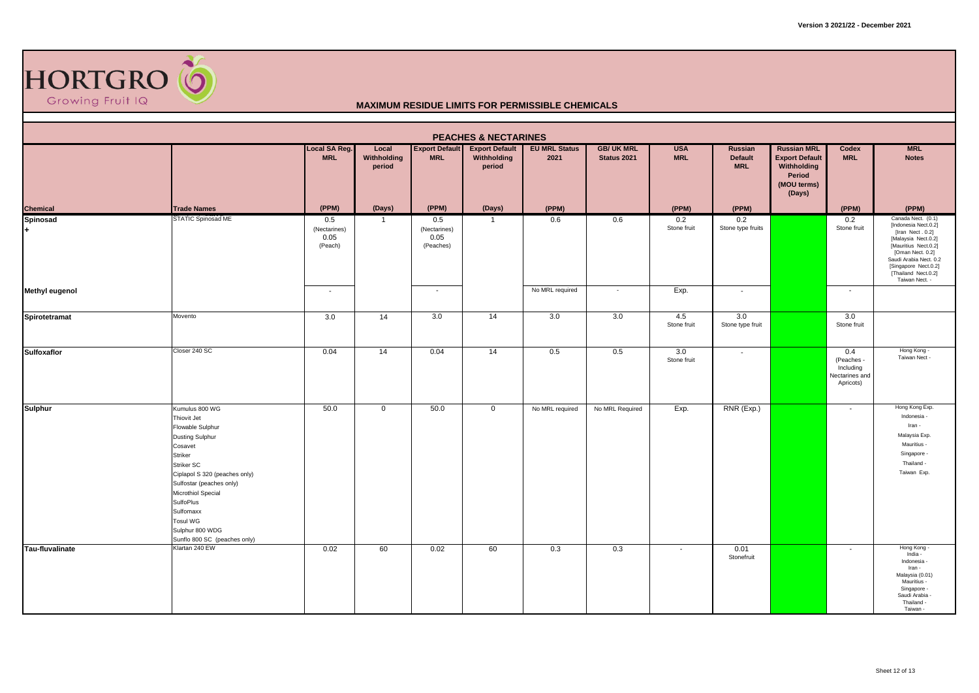

|                              |                                                                                                                                                                                                                                                                                                           |                                        |                                |                                          | <b>PEACHES &amp; NECTARINES</b>                |                              |                                  |                                 |                                                |                                                                                               |                                                               |                                                                                                                                                                                                                              |
|------------------------------|-----------------------------------------------------------------------------------------------------------------------------------------------------------------------------------------------------------------------------------------------------------------------------------------------------------|----------------------------------------|--------------------------------|------------------------------------------|------------------------------------------------|------------------------------|----------------------------------|---------------------------------|------------------------------------------------|-----------------------------------------------------------------------------------------------|---------------------------------------------------------------|------------------------------------------------------------------------------------------------------------------------------------------------------------------------------------------------------------------------------|
|                              |                                                                                                                                                                                                                                                                                                           | Local SA Reg.<br><b>MRL</b>            | Local<br>Withholding<br>period | <b>Export Default</b><br><b>MRL</b>      | <b>Export Default</b><br>Withholding<br>period | <b>EU MRL Status</b><br>2021 | <b>GB/ UK MRL</b><br>Status 2021 | <b>USA</b><br><b>MRL</b>        | <b>Russian</b><br><b>Default</b><br><b>MRL</b> | <b>Russian MRL</b><br><b>Export Default</b><br>Withholding<br>Period<br>(MOU terms)<br>(Days) | Codex<br><b>MRL</b>                                           | <b>MRL</b><br><b>Notes</b>                                                                                                                                                                                                   |
| Chemical                     | <b>Trade Names</b>                                                                                                                                                                                                                                                                                        | (PPM)                                  | (Days)                         | (PPM)                                    | (Days)                                         | (PPM)                        |                                  | (PPM)                           | (PPM)                                          |                                                                                               | (PPM)                                                         | (PPM)                                                                                                                                                                                                                        |
| <b>Spinosad</b><br>$\ddot{}$ | <b>STATIC Spinosad ME</b>                                                                                                                                                                                                                                                                                 | 0.5<br>(Nectarines)<br>0.05<br>(Peach) | -1                             | 0.5<br>(Nectarines)<br>0.05<br>(Peaches) | $\overline{1}$                                 | 0.6                          | 0.6                              | 0.2<br>Stone fruit              | 0.2<br>Stone type fruits                       |                                                                                               | 0.2<br>Stone fruit                                            | Canada Nect. (0.1)<br>[Indonesia Nect.0.2]<br>[Iran Nect. 0.2]<br>[Malaysia Nect.0.2]<br>[Mauritius Nect.0.2]<br>[Oman Nect. 0.2]<br>Saudi Arabia Nect. 0.2<br>[Singapore Nect.0.2]<br>[Thailand Nect.0.2]<br>Taiwan Nect. - |
| <b>Methyl eugenol</b>        |                                                                                                                                                                                                                                                                                                           | $\sim$                                 |                                | $\sim$                                   |                                                | No MRL required              | $\sim$                           | Exp.                            | $\sim$                                         |                                                                                               | $\sim$                                                        |                                                                                                                                                                                                                              |
| Spirotetramat                | Movento                                                                                                                                                                                                                                                                                                   | 3.0                                    | 14                             | 3.0                                      | 14                                             | 3.0                          | 3.0                              | 4.5<br>Stone fruit              | 3.0<br>Stone type fruit                        |                                                                                               | 3.0<br>Stone fruit                                            |                                                                                                                                                                                                                              |
| <b>Sulfoxaflor</b>           | Closer 240 SC                                                                                                                                                                                                                                                                                             | 0.04                                   | 14                             | 0.04                                     | 14                                             | 0.5                          | 0.5                              | $\overline{3.0}$<br>Stone fruit | $\sim$                                         |                                                                                               | 0.4<br>(Peaches -<br>Including<br>Nectarines and<br>Apricots) | Hong Kong -<br>Taiwan Nect -                                                                                                                                                                                                 |
| <b>Sulphur</b>               | Kumulus 800 WG<br>Thiovit Jet<br>Flowable Sulphur<br><b>Dusting Sulphur</b><br>Cosavet<br>Striker<br>Striker SC<br>Ciplapol S 320 (peaches only)<br>Sulfostar (peaches only)<br>Microthiol Special<br><b>SulfoPlus</b><br>Sulfomaxx<br><b>Tosul WG</b><br>Sulphur 800 WDG<br>Sunflo 800 SC (peaches only) | 50.0                                   | $\mathbf 0$                    | 50.0                                     | $\overline{0}$                                 | No MRL required              | No MRL Required                  | Exp.                            | RNR (Exp.)                                     |                                                                                               | $\sim$                                                        | Hong Kong Exp.<br>Indonesia -<br>Iran -<br>Malaysia Exp.<br>Mauritius -<br>Singapore -<br>Thailand -<br>Taiwan Exp.                                                                                                          |
| Tau-fluvalinate              | Klartan 240 EW                                                                                                                                                                                                                                                                                            | 0.02                                   | 60                             | 0.02                                     | 60                                             | 0.3                          | 0.3                              | $\overline{\phantom{a}}$        | 0.01<br>Stonefruit                             |                                                                                               | $\overline{\phantom{a}}$                                      | Hong Kong -<br>India -<br>Indonesia -<br>Iran -<br>Malaysia (0.01)<br>Mauritius -<br>Singapore -<br>Saudi Arabia -<br>Thailand -<br>Taiwan -                                                                                 |